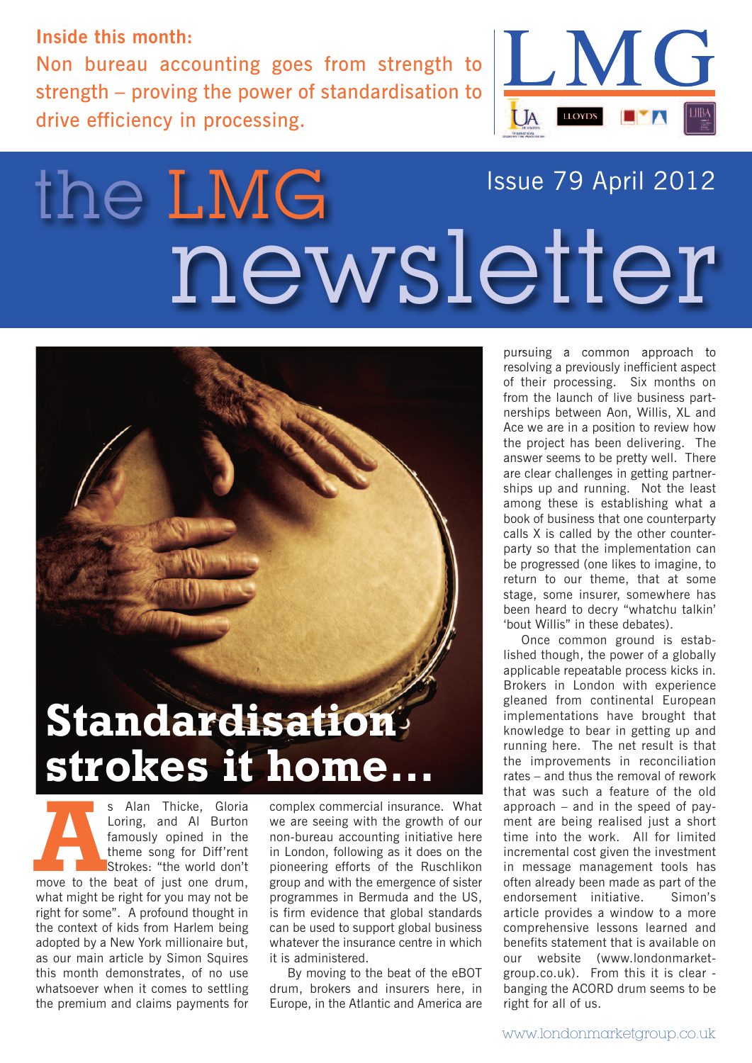#### **Inside this month:**

Non bureau accounting goes from strength to strength – proving the power of standardisation to drive efficiency in processing.



### Issue 79 April 2012 the LMG newsletter



s Alan Thicke, Gloria<br>
Loring, and Al Burton<br>
famously opined in the<br>
theme song for Diff'rent<br>
Strokes: "the world don't<br>
move to the beat of just one drum, Loring, and Al Burton famously opined in the theme song for Diff'rent Strokes: "the world don't what might be right for you may not be right for some". A profound thought in the context of kids from Harlem being adopted by a New York millionaire but, as our main article by Simon Squires this month demonstrates, of no use whatsoever when it comes to settling the premium and claims payments for

complex commercial insurance. What we are seeing with the growth of our non-bureau accounting initiative here in London, following as it does on the pioneering efforts of the Ruschlikon group and with the emergence of sister programmes in Bermuda and the US, is firm evidence that global standards can be used to support global business whatever the insurance centre in which it is administered.

By moving to the beat of the eBOT drum, brokers and insurers here, in Europe, in the Atlantic and America are pursuing a common approach to resolving a previously inefficient aspect of their processing. Six months on from the launch of live business partnerships between Aon, Willis, XL and Ace we are in a position to review how the project has been delivering. The answer seems to be pretty well. There are clear challenges in getting partnerships up and running. Not the least among these is establishing what a book of business that one counterparty calls X is called by the other counterparty so that the implementation can be progressed (one likes to imagine, to return to our theme, that at some stage, some insurer, somewhere has been heard to decry "whatchu talkin' 'bout Willis" in these debates).

Once common ground is established though, the power of a globally applicable repeatable process kicks in. Brokers in London with experience gleaned from continental European implementations have brought that knowledge to bear in getting up and running here. The net result is that the improvements in reconciliation rates – and thus the removal of rework that was such a feature of the old approach – and in the speed of payment are being realised just a short time into the work. All for limited incremental cost given the investment in message management tools has often already been made as part of the endorsement initiative. Simon's article provides a window to a more comprehensive lessons learned and benefits statement that is available on our website (www.londonmarketgroup.co.uk). From this it is clear banging the ACORD drum seems to be right for all of us.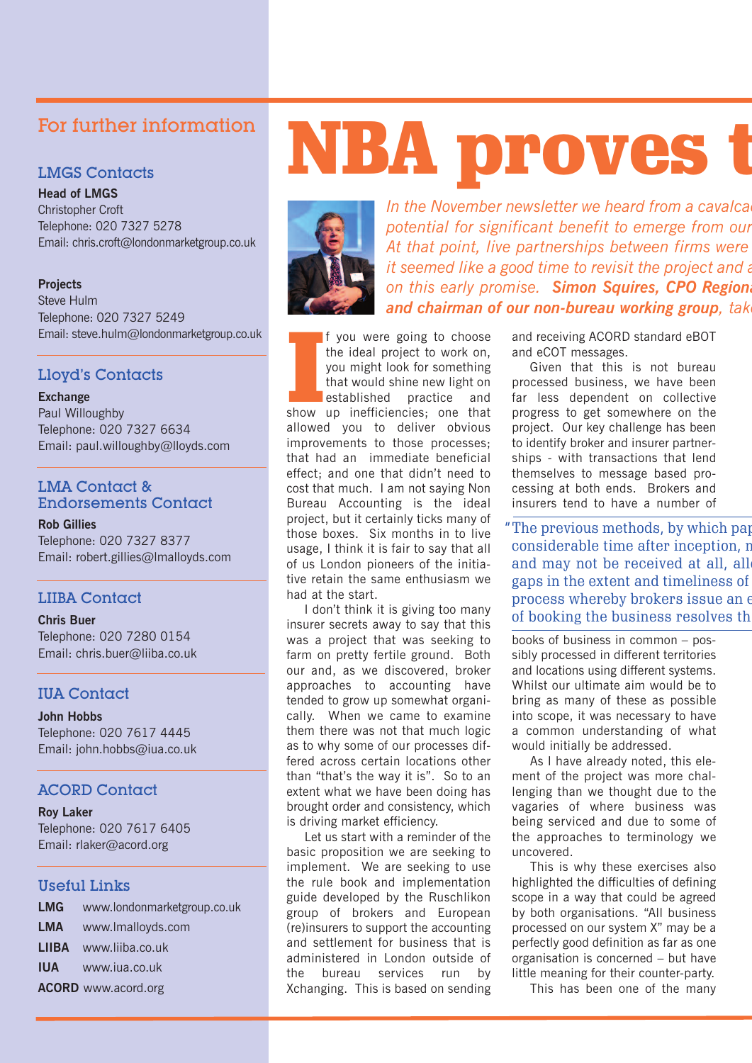#### For further information

#### LMGS Contacts

**Head of LMGS** Christopher Croft Telephone: 020 7327 5278 Email: chris.croft@londonmarketgroup.co.uk

#### **Projects**

Steve Hulm Telephone: 020 7327 5249 Email: steve.hulm@londonmarketgroup.co.uk

#### Lloyd's Contacts

#### **Exchange**

Paul Willoughby Telephone: 020 7327 6634 Email: paul.willoughby@lloyds.com

#### LMA Contact & Endorsements Contact

**Rob Gillies** Telephone: 020 7327 8377 Email: robert.gillies@lmalloyds.com

#### LIIBA Contact

**Chris Buer** Telephone: 020 7280 0154 Email: chris.buer@liiba.co.uk

#### IUA Contact

**John Hobbs** Telephone: 020 7617 4445 Email: john.hobbs@iua.co.uk

#### ACORD Contact

**Roy Laker** Telephone: 020 7617 6405 Email: rlaker@acord.org

#### Useful Links

| <b>LMG</b> | www.londonmarketgroup.co.uk  |
|------------|------------------------------|
|            | <b>LMA</b> www.lmalloyds.com |
|            | LIIBA www.liiba.co.uk        |
|            | <b>IUA</b> www.iua.co.uk     |
|            | <b>ACORD</b> www.acord.org   |

## **NBA proves t**



*In* the November *newsletter* we heard from a cavalcad *potential for significant benefit to emerge from our At that point, live partnerships between firms were it seemed like a good time to revisit the project and a on this early promise. Simon Squires, CPO Regiona and chairman of our non-bureau working group, take*

I<sup>I</sup>
show were going to choose<br>the ideal project to work on,<br>you might look for something<br>that would shine new light on<br>established practice and<br>show up inefficiencies; one that f you were going to choose the ideal project to work on, you might look for something that would shine new light on **established** practice and allowed you to deliver obvious improvements to those processes; that had an immediate beneficial effect; and one that didn't need to cost that much. I am not saying Non Bureau Accounting is the ideal project, but it certainly ticks many of those boxes. Six months in to live usage, I think it is fair to say that all of us London pioneers of the initiative retain the same enthusiasm we had at the start.

I don't think it is giving too many insurer secrets away to say that this was a project that was seeking to farm on pretty fertile ground. Both our and, as we discovered, broker approaches to accounting have tended to grow up somewhat organically. When we came to examine them there was not that much logic as to why some of our processes differed across certain locations other than "that's the way it is". So to an extent what we have been doing has brought order and consistency, which is driving market efficiency.

Let us start with a reminder of the basic proposition we are seeking to implement. We are seeking to use the rule book and implementation guide developed by the Ruschlikon group of brokers and European (re)insurers to support the accounting and settlement for business that is administered in London outside of the bureau services run by Xchanging. This is based on sending and receiving ACORD standard eBOT and eCOT messages.

Given that this is not bureau processed business, we have been far less dependent on collective progress to get somewhere on the project. Our key challenge has been to identify broker and insurer partnerships - with transactions that lend themselves to message based processing at both ends. Brokers and insurers tend to have a number of

"The previous methods, by which pap considerable time after inception, r and may not be received at all, all gaps in the extent and timeliness of process whereby brokers issue an e of booking the business resolves th

books of business in common – possibly processed in different territories and locations using different systems. Whilst our ultimate aim would be to bring as many of these as possible into scope, it was necessary to have a common understanding of what would initially be addressed.

As I have already noted, this element of the project was more challenging than we thought due to the vagaries of where business was being serviced and due to some of the approaches to terminology we uncovered.

This is why these exercises also highlighted the difficulties of defining scope in a way that could be agreed by both organisations. "All business processed on our system X" may be a perfectly good definition as far as one organisation is concerned – but have little meaning for their counter-party.

This has been one of the many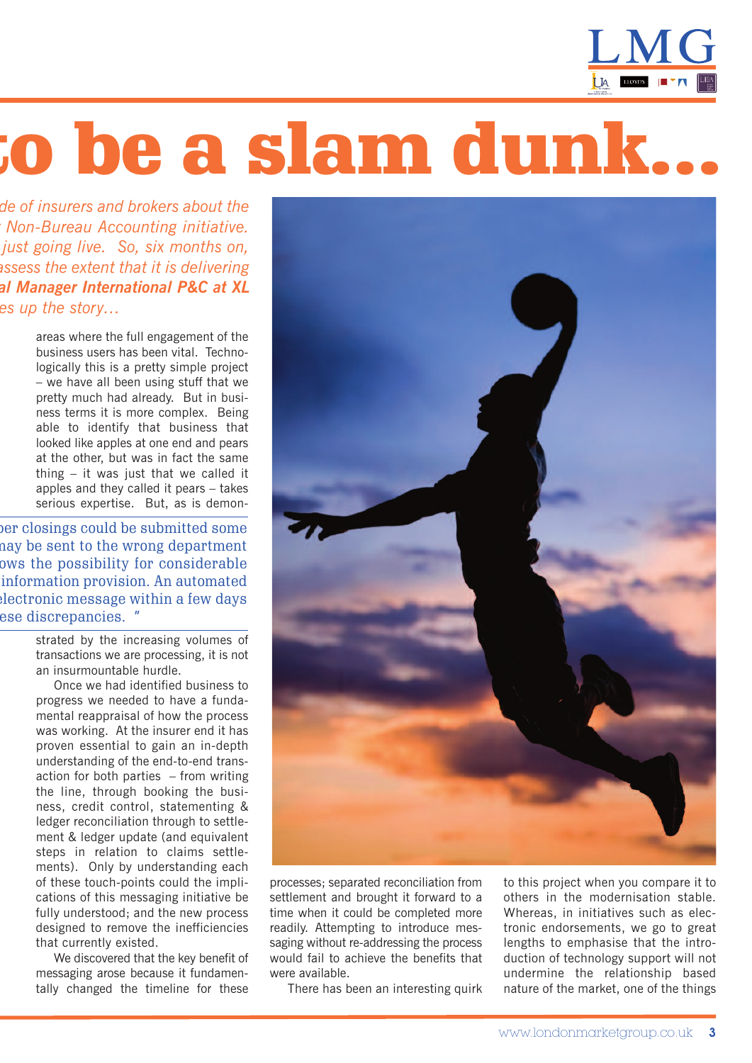

## **to be a slam dunk…**

*de of insurers and brokers about the r Non-Bureau Accounting initiative. just going live. So, six months on, assess the extent that it is delivering al Manager International P&C at XL es up the story…*

> areas where the full engagement of the business users has been vital. Technologically this is a pretty simple project – we have all been using stuff that we pretty much had already. But in business terms it is more complex. Being able to identify that business that looked like apples at one end and pears at the other, but was in fact the same thing – it was just that we called it apples and they called it pears – takes serious expertise. But, as is demon-

per closings could be submitted some may be sent to the wrong department ows the possibility for considerable information provision. An automated electronic message within a few days ese discrepancies. "

> strated by the increasing volumes of transactions we are processing, it is not an insurmountable hurdle.

> Once we had identified business to progress we needed to have a fundamental reappraisal of how the process was working. At the insurer end it has proven essential to gain an in-depth understanding of the end-to-end transaction for both parties – from writing the line, through booking the business, credit control, statementing & ledger reconciliation through to settlement & ledger update (and equivalent steps in relation to claims settlements). Only by understanding each of these touch-points could the implications of this messaging initiative be fully understood; and the new process designed to remove the inefficiencies that currently existed.

> We discovered that the key benefit of messaging arose because it fundamentally changed the timeline for these



processes; separated reconciliation from settlement and brought it forward to a time when it could be completed more readily. Attempting to introduce messaging without re-addressing the process would fail to achieve the benefits that were available.

There has been an interesting quirk

to this project when you compare it to others in the modernisation stable. Whereas, in initiatives such as electronic endorsements, we go to great lengths to emphasise that the introduction of technology support will not undermine the relationship based nature of the market, one of the things